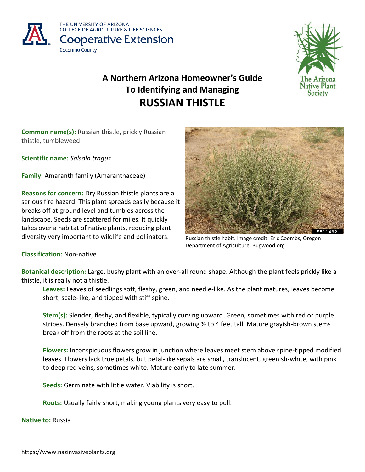



# **A Northern Arizona Homeowner's Guide To Identifying and Managing RUSSIAN THISTLE**

**Common name(s):** Russian thistle, prickly Russian thistle, tumbleweed

**Scientific name:** *Salsola tragus*

**Family:** Amaranth family (Amaranthaceae)

**Reasons for concern:** Dry Russian thistle plants are a serious fire hazard. This plant spreads easily because it breaks off at ground level and tumbles across the landscape. Seeds are scattered for miles. It quickly takes over a habitat of native plants, reducing plant diversity very important to wildlife and pollinators.



Russian thistle habit. Image credit: Eric Coombs, Oregon Department of Agriculture, Bugwood.org

# **Classification:** Non-native

**Botanical description:** Large, bushy plant with an over-all round shape. Although the plant feels prickly like a thistle, it is really not a thistle.

**Leaves:** Leaves of seedlings soft, fleshy, green, and needle-like. As the plant matures, leaves become short, scale-like, and tipped with stiff spine.

**Stem(s):** Slender, fleshy, and flexible, typically curving upward. Green, sometimes with red or purple stripes. Densely branched from base upward, growing ½ to 4 feet tall. Mature grayish-brown stems break off from the roots at the soil line.

**Flowers:** Inconspicuous flowers grow in junction where leaves meet stem above spine-tipped modified leaves. Flowers lack true petals, but petal-like sepals are small, translucent, greenish-white, with pink to deep red veins, sometimes white. Mature early to late summer.

**Seeds:** Germinate with little water. Viability is short.

**Roots:** Usually fairly short, making young plants very easy to pull.

**Native to:** Russia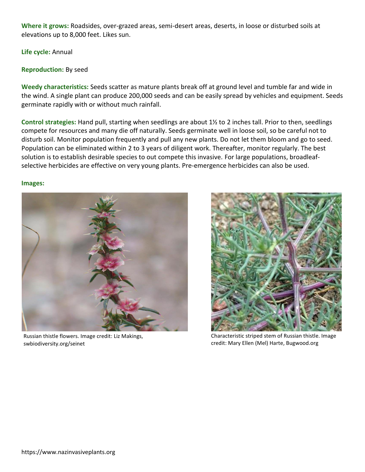**Where it grows:** Roadsides, over-grazed areas, semi-desert areas, deserts, in loose or disturbed soils at elevations up to 8,000 feet. Likes sun.

**Life cycle:** Annual

### **Reproduction:** By seed

**Weedy characteristics:** Seeds scatter as mature plants break off at ground level and tumble far and wide in the wind. A single plant can produce 200,000 seeds and can be easily spread by vehicles and equipment. Seeds germinate rapidly with or without much rainfall.

**Control strategies:** Hand pull, starting when seedlings are about 1½ to 2 inches tall. Prior to then, seedlings compete for resources and many die off naturally. Seeds germinate well in loose soil, so be careful not to disturb soil. Monitor population frequently and pull any new plants. Do not let them bloom and go to seed. Population can be eliminated within 2 to 3 years of diligent work. Thereafter, monitor regularly. The best solution is to establish desirable species to out compete this invasive. For large populations, broadleaf‐ selective herbicides are effective on very young plants. Pre-emergence herbicides can also be used.

#### **Images:**



Russian thistle flowers. Image credit: Liz Makings, swbiodiversity.org/seinet



Characteristic striped stem of Russian thistle. Image credit: Mary Ellen (Mel) Harte, Bugwood.org